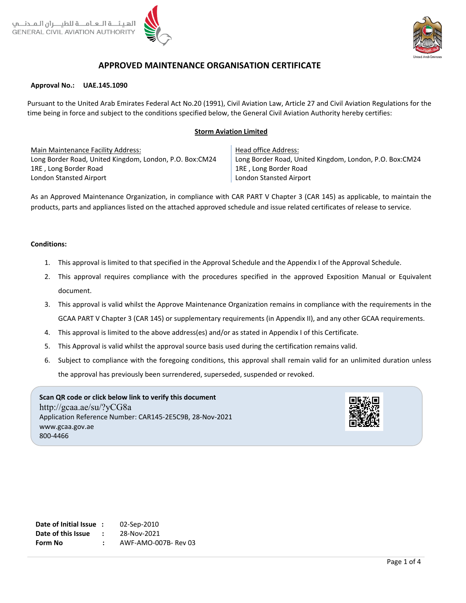

# **APPROVED MAINTENANCE ORGANISATION CERTIFICATE**

#### **Approval No.: UAE.145.1090**

Pursuant to the United Arab Emirates Federal Act No.20 (1991), Civil Aviation Law, Article 27 and Civil Aviation Regulations for the time being in force and subject to the conditions specified below, the General Civil Aviation Authority hereby certifies:

### **Storm Aviation Limited**

Main Maintenance Facility Address: Long Border Road, United Kingdom, London, P.O. Box:CM24 1RE , Long Border Road London Stansted Airport

Head office Address: Long Border Road, United Kingdom, London, P.O. Box:CM24 1RE , Long Border Road London Stansted Airport

As an Approved Maintenance Organization, in compliance with CAR PART V Chapter 3 (CAR 145) as applicable, to maintain the products, parts and appliances listed on the attached approved schedule and issue related certificates of release to service.

### **Conditions:**

- 1. This approval is limited to that specified in the Approval Schedule and the Appendix I of the Approval Schedule.
- 2. This approval requires compliance with the procedures specified in the approved Exposition Manual or Equivalent document.
- 3. This approval is valid whilst the Approve Maintenance Organization remains in compliance with the requirements in the GCAA PART V Chapter 3 (CAR 145) or supplementary requirements (in Appendix II), and any other GCAA requirements.
- 4. This approval is limited to the above address(es) and/or as stated in Appendix I of this Certificate.
- 5. This Approval is valid whilst the approval source basis used during the certification remains valid.
- 6. Subject to compliance with the foregoing conditions, this approval shall remain valid for an unlimited duration unless the approval has previously been surrendered, superseded, suspended or revoked.

**Scan QR code or click below link to verify this document** http://gcaa.ae/su/?yCG8a Application Reference Number: CAR145-2E5C9B, 28-Nov-2021 www.gcaa.gov.ae 800-4466



**Date of Initial Issue :** 02-Sep-2010 **Date of this Issue :** 28-Nov-2021 **Form No :** AWF-AMO-007B- Rev 03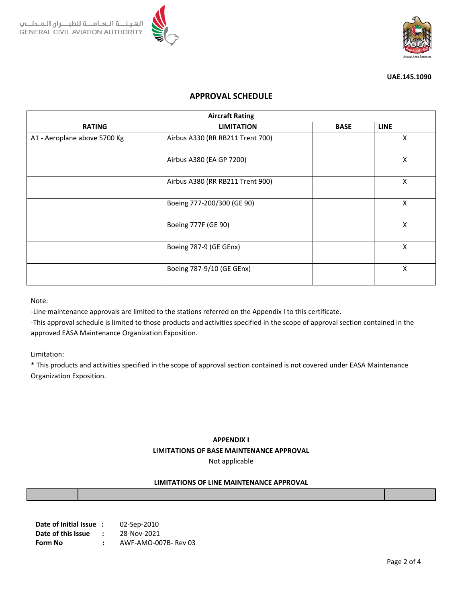



#### **UAE.145.1090**

## **APPROVAL SCHEDULE**

| <b>Aircraft Rating</b>       |                                  |             |             |  |  |  |  |
|------------------------------|----------------------------------|-------------|-------------|--|--|--|--|
| <b>RATING</b>                | <b>LIMITATION</b>                | <b>BASE</b> | <b>LINE</b> |  |  |  |  |
| A1 - Aeroplane above 5700 Kg | Airbus A330 (RR RB211 Trent 700) |             | X           |  |  |  |  |
|                              | Airbus A380 (EA GP 7200)         |             | Χ           |  |  |  |  |
|                              | Airbus A380 (RR RB211 Trent 900) |             | X           |  |  |  |  |
|                              | Boeing 777-200/300 (GE 90)       |             | X           |  |  |  |  |
|                              | Boeing 777F (GE 90)              |             | Χ           |  |  |  |  |
|                              | Boeing 787-9 (GE GEnx)           |             | X           |  |  |  |  |
|                              | Boeing 787-9/10 (GE GEnx)        |             | Χ           |  |  |  |  |

Note:

-Line maintenance approvals are limited to the stations referred on the Appendix I to this certificate.

-This approval schedule is limited to those products and activities specified in the scope of approval section contained in the approved EASA Maintenance Organization Exposition.

Limitation:

\* This products and activities specified in the scope of approval section contained is not covered under EASA Maintenance Organization Exposition.

# **APPENDIX I LIMITATIONS OF BASE MAINTENANCE APPROVAL** Not applicable

### **LIMITATIONS OF LINE MAINTENANCE APPROVAL**

| Date of Initial Issue: |                      | 02-Sep-2010          |
|------------------------|----------------------|----------------------|
| Date of this Issue     | $\ddot{\phantom{0}}$ | 28-Nov-2021          |
| Form No                |                      | AWF-AMO-007B- Rev 03 |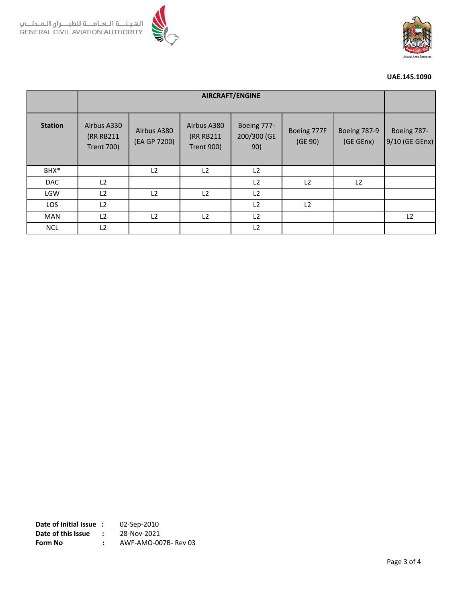



### **UAE.145.1090**

|                | <b>AIRCRAFT/ENGINE</b>                        |                             |                                               |                                   |                        |                                  |                               |
|----------------|-----------------------------------------------|-----------------------------|-----------------------------------------------|-----------------------------------|------------------------|----------------------------------|-------------------------------|
| <b>Station</b> | Airbus A330<br>(RR RB211<br><b>Trent 700)</b> | Airbus A380<br>(EA GP 7200) | Airbus A380<br>(RR RB211<br><b>Trent 900)</b> | Boeing 777-<br>200/300 (GE<br>90) | Boeing 777F<br>(GE 90) | <b>Boeing 787-9</b><br>(GE GEnx) | Boeing 787-<br>9/10 (GE GEnx) |
| BHX*           |                                               | L2                          | L <sub>2</sub>                                | L2                                |                        |                                  |                               |
| DAC            | L2                                            |                             |                                               | L2                                | L2                     | L2                               |                               |
| LGW            | L2                                            | L2                          | L <sub>2</sub>                                | L2                                |                        |                                  |                               |
| LOS            | L2                                            |                             |                                               | L2                                | L2                     |                                  |                               |
| <b>MAN</b>     | L2                                            | L2                          | L <sub>2</sub>                                | L2                                |                        |                                  | L <sub>2</sub>                |
| <b>NCL</b>     | L <sub>2</sub>                                |                             |                                               | L2                                |                        |                                  |                               |